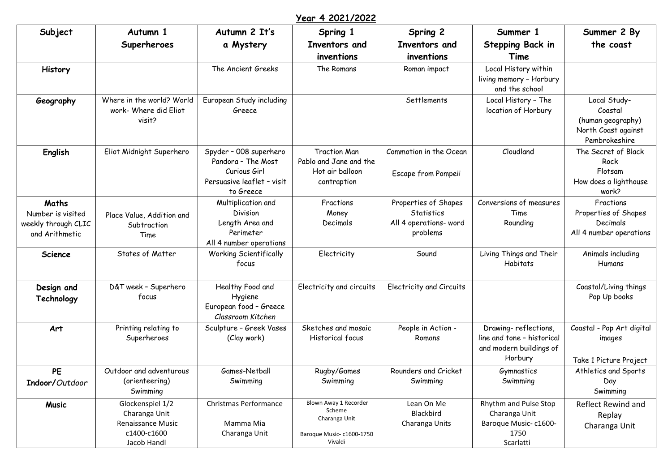## **Year 4 2021/2022**

| Subject                                                             | Autumn 1                                                                                    | Autumn 2 It's                                                                                           | Spring 1                                                                                 | Spring 2                                                                 | Summer 1                                                                                 | Summer 2 By                                                                          |
|---------------------------------------------------------------------|---------------------------------------------------------------------------------------------|---------------------------------------------------------------------------------------------------------|------------------------------------------------------------------------------------------|--------------------------------------------------------------------------|------------------------------------------------------------------------------------------|--------------------------------------------------------------------------------------|
|                                                                     | Superheroes                                                                                 | a Mystery                                                                                               | Inventors and<br>inventions                                                              | Inventors and<br>inventions                                              | Stepping Back in<br>Time                                                                 | the coast                                                                            |
| <b>History</b>                                                      |                                                                                             | The Ancient Greeks                                                                                      | The Romans                                                                               | Roman impact                                                             | Local History within<br>living memory - Horbury<br>and the school                        |                                                                                      |
| Geography                                                           | Where in the world? World<br>work- Where did Eliot<br>visit?                                | European Study including<br>Greece                                                                      |                                                                                          | Settlements                                                              | Local History - The<br>location of Horbury                                               | Local Study-<br>Coastal<br>(human geography)<br>North Coast against<br>Pembrokeshire |
| English                                                             | Eliot Midnight Superhero                                                                    | Spyder - 008 superhero<br>Pandora - The Most<br>Curious Girl<br>Persuasive leaflet - visit<br>to Greece | <b>Traction Man</b><br>Pablo and Jane and the<br>Hot air balloon<br>contraption          | Commotion in the Ocean<br>Escape from Pompeii                            | Cloudland                                                                                | The Secret of Black<br>Rock<br>Flotsam<br>How does a lighthouse<br>work?             |
| Maths<br>Number is visited<br>weekly through CLIC<br>and Arithmetic | Place Value, Addition and<br>Subtraction<br>Time                                            | Multiplication and<br>Division<br>Length Area and<br>Perimeter<br>All 4 number operations               | Fractions<br>Money<br>Decimals                                                           | Properties of Shapes<br>Statistics<br>All 4 operations- word<br>problems | Conversions of measures<br>Time<br>Rounding                                              | Fractions<br>Properties of Shapes<br>Decimals<br>All 4 number operations             |
| Science                                                             | States of Matter                                                                            | <b>Working Scientifically</b><br>focus                                                                  | Electricity                                                                              | Sound                                                                    | Living Things and Their<br>Habitats                                                      | Animals including<br>Humans                                                          |
| Design and<br>Technology                                            | D&T week - Superhero<br>focus                                                               | Healthy Food and<br>Hygiene<br>European food - Greece<br>Classroom Kitchen                              | Electricity and circuits                                                                 | Electricity and Circuits                                                 |                                                                                          | Coastal/Living things<br>Pop Up books                                                |
| Art                                                                 | Printing relating to<br>Superheroes                                                         | Sculpture - Greek Vases<br>(Clay work)                                                                  | Sketches and mosaic<br><b>Historical focus</b>                                           | People in Action -<br>Romans                                             | Drawing-reflections,<br>line and tone - historical<br>and modern buildings of<br>Horbury | Coastal - Pop Art digital<br>images<br>Take 1 Picture Project                        |
| <b>PE</b><br>Indoor/Outdoor                                         | Outdoor and adventurous<br>(orienteering)<br>Swimming                                       | Games-Netball<br>Swimming                                                                               | Rugby/Games<br>Swimming                                                                  | Rounders and Cricket<br>Swimming                                         | Gymnastics<br>Swimming                                                                   | Athletics and Sports<br>Day<br>Swimming                                              |
| <b>Music</b>                                                        | Glockenspiel 1/2<br>Charanga Unit<br><b>Renaissance Music</b><br>c1400-c1600<br>Jacob Handl | Christmas Performance<br>Mamma Mia<br>Charanga Unit                                                     | Blown Away 1 Recorder<br>Scheme<br>Charanga Unit<br>Baroque Music- c1600-1750<br>Vivaldi | Lean On Me<br>Blackbird<br>Charanga Units                                | Rhythm and Pulse Stop<br>Charanga Unit<br>Baroque Music-c1600-<br>1750<br>Scarlatti      | Reflect Rewind and<br>Replay<br>Charanga Unit                                        |